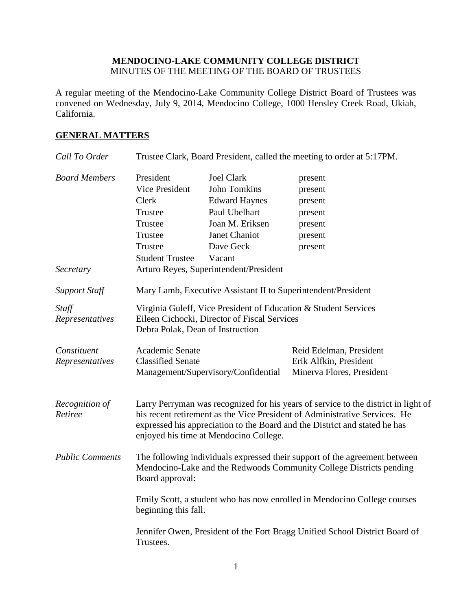## **MENDOCINO-LAKE COMMUNITY COLLEGE DISTRICT** MINUTES OF THE MEETING OF THE BOARD OF TRUSTEES

A regular meeting of the Mendocino-Lake Community College District Board of Trustees was convened on Wednesday, July 9, 2014, Mendocino College, 1000 Hensley Creek Road, Ukiah, California.

# **GENERAL MATTERS**

| Call To Order                     |                                                                                                                                                                      |                                                                                                                                                                                               | Trustee Clark, Board President, called the meeting to order at 5:17PM.                                                                                                                                                                         |
|-----------------------------------|----------------------------------------------------------------------------------------------------------------------------------------------------------------------|-----------------------------------------------------------------------------------------------------------------------------------------------------------------------------------------------|------------------------------------------------------------------------------------------------------------------------------------------------------------------------------------------------------------------------------------------------|
| <b>Board Members</b><br>Secretary | President<br><b>Vice President</b><br>Clerk<br>Trustee<br>Trustee<br>Trustee<br>Trustee<br><b>Student Trustee</b>                                                    | <b>Joel Clark</b><br><b>John Tomkins</b><br><b>Edward Haynes</b><br>Paul Ubelhart<br>Joan M. Eriksen<br><b>Janet Chaniot</b><br>Dave Geck<br>Vacant<br>Arturo Reyes, Superintendent/President | present<br>present<br>present<br>present<br>present<br>present<br>present                                                                                                                                                                      |
| <b>Support Staff</b>              |                                                                                                                                                                      | Mary Lamb, Executive Assistant II to Superintendent/President                                                                                                                                 |                                                                                                                                                                                                                                                |
| Staff<br>Representatives          | Virginia Guleff, Vice President of Education & Student Services<br>Eileen Cichocki, Director of Fiscal Services<br>Debra Polak, Dean of Instruction                  |                                                                                                                                                                                               |                                                                                                                                                                                                                                                |
| Constituent<br>Representatives    | Academic Senate<br><b>Classified Senate</b>                                                                                                                          | Management/Supervisory/Confidential                                                                                                                                                           | Reid Edelman, President<br>Erik Alfkin, President<br>Minerva Flores, President                                                                                                                                                                 |
| Recognition of<br>Retiree         |                                                                                                                                                                      | enjoyed his time at Mendocino College.                                                                                                                                                        | Larry Perryman was recognized for his years of service to the district in light of<br>his recent retirement as the Vice President of Administrative Services. He<br>expressed his appreciation to the Board and the District and stated he has |
| <b>Public Comments</b>            | The following individuals expressed their support of the agreement between<br>Mendocino-Lake and the Redwoods Community College Districts pending<br>Board approval: |                                                                                                                                                                                               |                                                                                                                                                                                                                                                |
|                                   | Emily Scott, a student who has now enrolled in Mendocino College courses<br>beginning this fall.                                                                     |                                                                                                                                                                                               |                                                                                                                                                                                                                                                |
|                                   | Jennifer Owen, President of the Fort Bragg Unified School District Board of<br>Trustees.                                                                             |                                                                                                                                                                                               |                                                                                                                                                                                                                                                |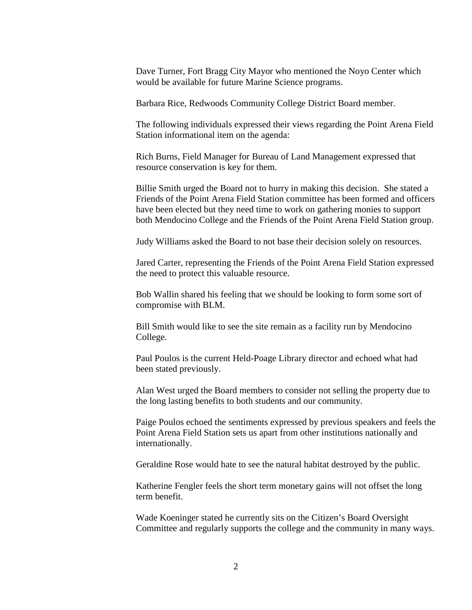Dave Turner, Fort Bragg City Mayor who mentioned the Noyo Center which would be available for future Marine Science programs.

Barbara Rice, Redwoods Community College District Board member.

The following individuals expressed their views regarding the Point Arena Field Station informational item on the agenda:

Rich Burns, Field Manager for Bureau of Land Management expressed that resource conservation is key for them.

Billie Smith urged the Board not to hurry in making this decision. She stated a Friends of the Point Arena Field Station committee has been formed and officers have been elected but they need time to work on gathering monies to support both Mendocino College and the Friends of the Point Arena Field Station group.

Judy Williams asked the Board to not base their decision solely on resources.

Jared Carter, representing the Friends of the Point Arena Field Station expressed the need to protect this valuable resource.

Bob Wallin shared his feeling that we should be looking to form some sort of compromise with BLM.

Bill Smith would like to see the site remain as a facility run by Mendocino College.

Paul Poulos is the current Held-Poage Library director and echoed what had been stated previously.

Alan West urged the Board members to consider not selling the property due to the long lasting benefits to both students and our community.

Paige Poulos echoed the sentiments expressed by previous speakers and feels the Point Arena Field Station sets us apart from other institutions nationally and internationally.

Geraldine Rose would hate to see the natural habitat destroyed by the public.

Katherine Fengler feels the short term monetary gains will not offset the long term benefit.

Wade Koeninger stated he currently sits on the Citizen's Board Oversight Committee and regularly supports the college and the community in many ways.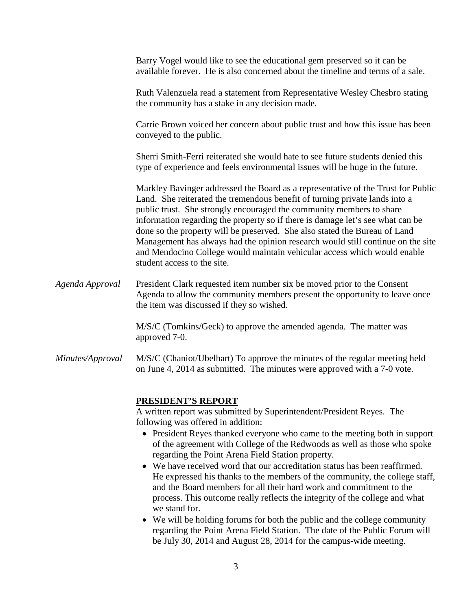|                  | Barry Vogel would like to see the educational gem preserved so it can be<br>available forever. He is also concerned about the timeline and terms of a sale.                                                                                                                                                                                                                                                                                                                                                                                                                                           |
|------------------|-------------------------------------------------------------------------------------------------------------------------------------------------------------------------------------------------------------------------------------------------------------------------------------------------------------------------------------------------------------------------------------------------------------------------------------------------------------------------------------------------------------------------------------------------------------------------------------------------------|
|                  | Ruth Valenzuela read a statement from Representative Wesley Chesbro stating<br>the community has a stake in any decision made.                                                                                                                                                                                                                                                                                                                                                                                                                                                                        |
|                  | Carrie Brown voiced her concern about public trust and how this issue has been<br>conveyed to the public.                                                                                                                                                                                                                                                                                                                                                                                                                                                                                             |
|                  | Sherri Smith-Ferri reiterated she would hate to see future students denied this<br>type of experience and feels environmental issues will be huge in the future.                                                                                                                                                                                                                                                                                                                                                                                                                                      |
|                  | Markley Bavinger addressed the Board as a representative of the Trust for Public<br>Land. She reiterated the tremendous benefit of turning private lands into a<br>public trust. She strongly encouraged the community members to share<br>information regarding the property so if there is damage let's see what can be<br>done so the property will be preserved. She also stated the Bureau of Land<br>Management has always had the opinion research would still continue on the site<br>and Mendocino College would maintain vehicular access which would enable<br>student access to the site. |
| Agenda Approval  | President Clark requested item number six be moved prior to the Consent<br>Agenda to allow the community members present the opportunity to leave once<br>the item was discussed if they so wished.                                                                                                                                                                                                                                                                                                                                                                                                   |
|                  | M/S/C (Tomkins/Geck) to approve the amended agenda. The matter was<br>approved 7-0.                                                                                                                                                                                                                                                                                                                                                                                                                                                                                                                   |
| Minutes/Approval | M/S/C (Chaniot/Ubelhart) To approve the minutes of the regular meeting held<br>on June 4, 2014 as submitted. The minutes were approved with a 7-0 vote.                                                                                                                                                                                                                                                                                                                                                                                                                                               |
|                  |                                                                                                                                                                                                                                                                                                                                                                                                                                                                                                                                                                                                       |

#### **PRESIDENT'S REPORT**

A written report was submitted by Superintendent/President Reyes. The following was offered in addition:

- President Reyes thanked everyone who came to the meeting both in support of the agreement with College of the Redwoods as well as those who spoke regarding the Point Arena Field Station property.
- We have received word that our accreditation status has been reaffirmed. He expressed his thanks to the members of the community, the college staff, and the Board members for all their hard work and commitment to the process. This outcome really reflects the integrity of the college and what we stand for.
- We will be holding forums for both the public and the college community regarding the Point Arena Field Station. The date of the Public Forum will be July 30, 2014 and August 28, 2014 for the campus-wide meeting.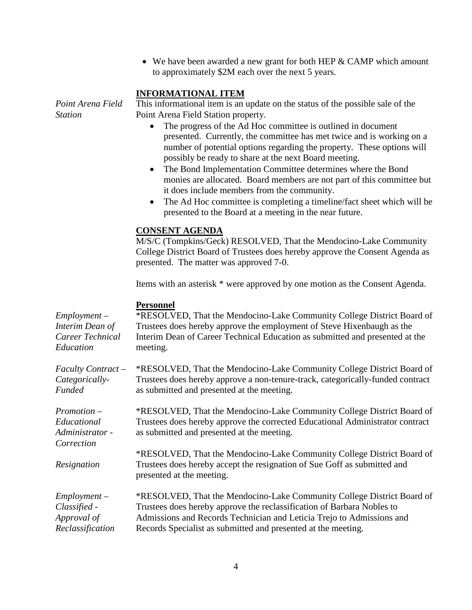• We have been awarded a new grant for both HEP & CAMP which amount to approximately \$2M each over the next 5 years.

## **INFORMATIONAL ITEM**

*Station*

*Point Arena Field*  This informational item is an update on the status of the possible sale of the Point Arena Field Station property.

- The progress of the Ad Hoc committee is outlined in document presented. Currently, the committee has met twice and is working on a number of potential options regarding the property. These options will possibly be ready to share at the next Board meeting.
- The Bond Implementation Committee determines where the Bond monies are allocated. Board members are not part of this committee but it does include members from the community.
- The Ad Hoc committee is completing a timeline/fact sheet which will be presented to the Board at a meeting in the near future.

#### **CONSENT AGENDA**

M/S/C (Tompkins/Geck) RESOLVED, That the Mendocino-Lake Community College District Board of Trustees does hereby approve the Consent Agenda as presented. The matter was approved 7-0.

Items with an asterisk \* were approved by one motion as the Consent Agenda.

| $Employment -$<br>Interim Dean of<br>Career Technical<br>Education | <b>Personnel</b><br>*RESOLVED, That the Mendocino-Lake Community College District Board of<br>Trustees does hereby approve the employment of Steve Hixenbaugh as the<br>Interim Dean of Career Technical Education as submitted and presented at the<br>meeting.                           |
|--------------------------------------------------------------------|--------------------------------------------------------------------------------------------------------------------------------------------------------------------------------------------------------------------------------------------------------------------------------------------|
| Faculty Contract -<br>Categorically-<br>Funded                     | *RESOLVED, That the Mendocino-Lake Community College District Board of<br>Trustees does hereby approve a non-tenure-track, categorically-funded contract<br>as submitted and presented at the meeting.                                                                                     |
| $Promotion -$<br>Educational<br>Administrator -<br>Correction      | *RESOLVED, That the Mendocino-Lake Community College District Board of<br>Trustees does hereby approve the corrected Educational Administrator contract<br>as submitted and presented at the meeting.                                                                                      |
| Resignation                                                        | *RESOLVED, That the Mendocino-Lake Community College District Board of<br>Trustees does hereby accept the resignation of Sue Goff as submitted and<br>presented at the meeting.                                                                                                            |
| $Employment -$<br>Classified -<br>Approval of<br>Reclassification  | *RESOLVED, That the Mendocino-Lake Community College District Board of<br>Trustees does hereby approve the reclassification of Barbara Nobles to<br>Admissions and Records Technician and Leticia Trejo to Admissions and<br>Records Specialist as submitted and presented at the meeting. |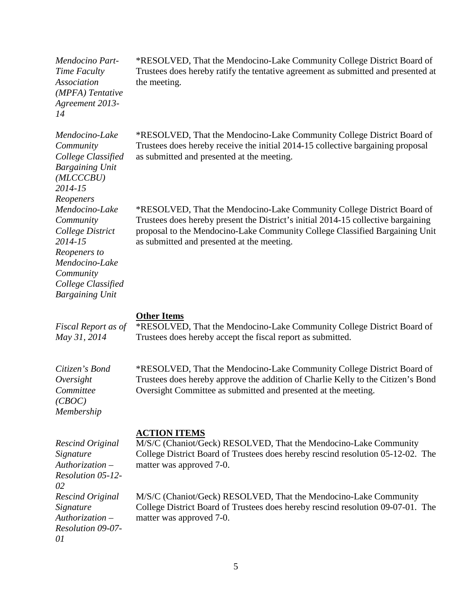| Mendocino Part-<br>Time Faculty<br>Association<br>(MPFA) Tentative<br>Agreement 2013-<br>14                                                                            | *RESOLVED, That the Mendocino-Lake Community College District Board of<br>Trustees does hereby ratify the tentative agreement as submitted and presented at<br>the meeting.                                                                                                              |
|------------------------------------------------------------------------------------------------------------------------------------------------------------------------|------------------------------------------------------------------------------------------------------------------------------------------------------------------------------------------------------------------------------------------------------------------------------------------|
| Mendocino-Lake<br>Community<br>College Classified<br><b>Bargaining Unit</b><br>(MLCCCBU)<br>2014-15                                                                    | *RESOLVED, That the Mendocino-Lake Community College District Board of<br>Trustees does hereby receive the initial 2014-15 collective bargaining proposal<br>as submitted and presented at the meeting.                                                                                  |
| Reopeners<br>Mendocino-Lake<br>Community<br>College District<br>2014-15<br>Reopeners to<br>Mendocino-Lake<br>Community<br>College Classified<br><b>Bargaining Unit</b> | *RESOLVED, That the Mendocino-Lake Community College District Board of<br>Trustees does hereby present the District's initial 2014-15 collective bargaining<br>proposal to the Mendocino-Lake Community College Classified Bargaining Unit<br>as submitted and presented at the meeting. |
| Fiscal Report as of<br>May 31, 2014                                                                                                                                    | <b>Other Items</b><br>*RESOLVED, That the Mendocino-Lake Community College District Board of<br>Trustees does hereby accept the fiscal report as submitted.                                                                                                                              |
|                                                                                                                                                                        |                                                                                                                                                                                                                                                                                          |
| Citizen's Bond<br>Oversight<br>Committee<br>(CBOC)<br>Membership                                                                                                       | *RESOLVED, That the Mendocino-Lake Community College District Board of<br>Trustees does hereby approve the addition of Charlie Kelly to the Citizen's Bond<br>Oversight Committee as submitted and presented at the meeting.                                                             |
| <b>Rescind Original</b><br>Signature<br>$Authorization -$<br>Resolution 05-12-<br>02                                                                                   | <b>ACTION ITEMS</b><br>M/S/C (Chaniot/Geck) RESOLVED, That the Mendocino-Lake Community<br>College District Board of Trustees does hereby rescind resolution 05-12-02. The<br>matter was approved 7-0.                                                                                   |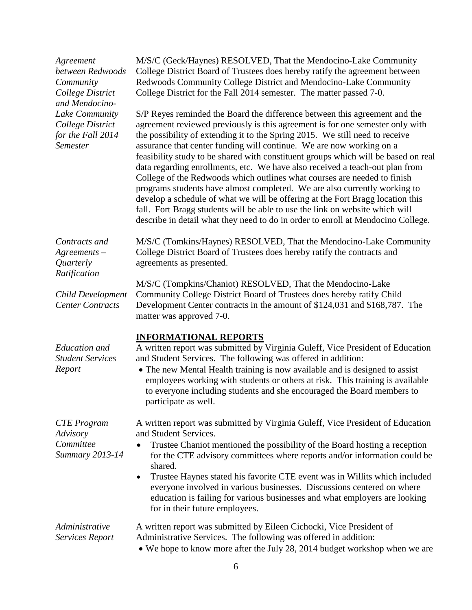| Agreement<br>between Redwoods<br>Community<br>College District<br>and Mendocino-<br>Lake Community<br>College District<br>for the Fall 2014<br><b>Semester</b> | M/S/C (Geck/Haynes) RESOLVED, That the Mendocino-Lake Community<br>College District Board of Trustees does hereby ratify the agreement between<br>Redwoods Community College District and Mendocino-Lake Community<br>College District for the Fall 2014 semester. The matter passed 7-0.                                                                                                                                                                                                                                                                                                                                                                                                                                                                                                                                                                                                                |
|----------------------------------------------------------------------------------------------------------------------------------------------------------------|----------------------------------------------------------------------------------------------------------------------------------------------------------------------------------------------------------------------------------------------------------------------------------------------------------------------------------------------------------------------------------------------------------------------------------------------------------------------------------------------------------------------------------------------------------------------------------------------------------------------------------------------------------------------------------------------------------------------------------------------------------------------------------------------------------------------------------------------------------------------------------------------------------|
|                                                                                                                                                                | S/P Reyes reminded the Board the difference between this agreement and the<br>agreement reviewed previously is this agreement is for one semester only with<br>the possibility of extending it to the Spring 2015. We still need to receive<br>assurance that center funding will continue. We are now working on a<br>feasibility study to be shared with constituent groups which will be based on real<br>data regarding enrollments, etc. We have also received a teach-out plan from<br>College of the Redwoods which outlines what courses are needed to finish<br>programs students have almost completed. We are also currently working to<br>develop a schedule of what we will be offering at the Fort Bragg location this<br>fall. Fort Bragg students will be able to use the link on website which will<br>describe in detail what they need to do in order to enroll at Mendocino College. |
| Contracts and<br>$A$ greements $-$<br>Quarterly<br>Ratification                                                                                                | M/S/C (Tomkins/Haynes) RESOLVED, That the Mendocino-Lake Community<br>College District Board of Trustees does hereby ratify the contracts and<br>agreements as presented.                                                                                                                                                                                                                                                                                                                                                                                                                                                                                                                                                                                                                                                                                                                                |
| <b>Child Development</b><br><b>Center Contracts</b>                                                                                                            | M/S/C (Tompkins/Chaniot) RESOLVED, That the Mendocino-Lake<br>Community College District Board of Trustees does hereby ratify Child<br>Development Center contracts in the amount of \$124,031 and \$168,787. The<br>matter was approved 7-0.                                                                                                                                                                                                                                                                                                                                                                                                                                                                                                                                                                                                                                                            |
| <b>Education</b> and<br><b>Student Services</b><br>Report                                                                                                      | <b>INFORMATIONAL REPORTS</b><br>A written report was submitted by Virginia Guleff, Vice President of Education<br>and Student Services. The following was offered in addition:<br>• The new Mental Health training is now available and is designed to assist<br>employees working with students or others at risk. This training is available<br>to everyone including students and she encouraged the Board members to<br>participate as well.                                                                                                                                                                                                                                                                                                                                                                                                                                                         |
| <b>CTE</b> Program<br>Advisory<br>Committee<br><b>Summary 2013-14</b>                                                                                          | A written report was submitted by Virginia Guleff, Vice President of Education<br>and Student Services.<br>Trustee Chaniot mentioned the possibility of the Board hosting a reception<br>٠<br>for the CTE advisory committees where reports and/or information could be<br>shared.<br>Trustee Haynes stated his favorite CTE event was in Willits which included<br>٠<br>everyone involved in various businesses. Discussions centered on where<br>education is failing for various businesses and what employers are looking<br>for in their future employees.                                                                                                                                                                                                                                                                                                                                          |
| Administrative<br>Services Report                                                                                                                              | A written report was submitted by Eileen Cichocki, Vice President of<br>Administrative Services. The following was offered in addition:<br>• We hope to know more after the July 28, 2014 budget workshop when we are                                                                                                                                                                                                                                                                                                                                                                                                                                                                                                                                                                                                                                                                                    |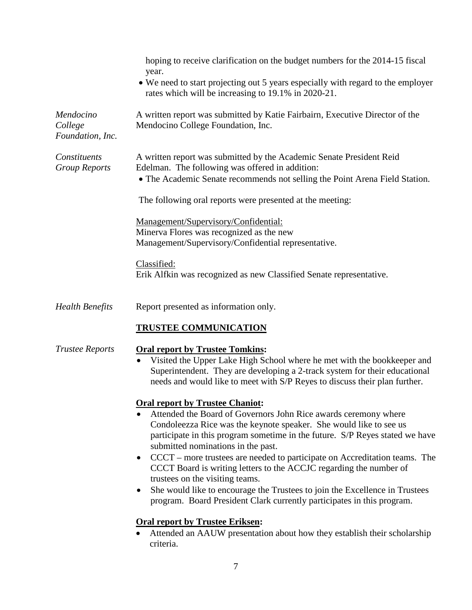|                                          | hoping to receive clarification on the budget numbers for the 2014-15 fiscal<br>year.                                                                                                                                                                                                                                                                                                                                                                                                                                                                                                                                                                                           |
|------------------------------------------|---------------------------------------------------------------------------------------------------------------------------------------------------------------------------------------------------------------------------------------------------------------------------------------------------------------------------------------------------------------------------------------------------------------------------------------------------------------------------------------------------------------------------------------------------------------------------------------------------------------------------------------------------------------------------------|
|                                          | • We need to start projecting out 5 years especially with regard to the employer<br>rates which will be increasing to 19.1% in 2020-21.                                                                                                                                                                                                                                                                                                                                                                                                                                                                                                                                         |
| Mendocino<br>College<br>Foundation, Inc. | A written report was submitted by Katie Fairbairn, Executive Director of the<br>Mendocino College Foundation, Inc.                                                                                                                                                                                                                                                                                                                                                                                                                                                                                                                                                              |
| Constituents<br><b>Group Reports</b>     | A written report was submitted by the Academic Senate President Reid<br>Edelman. The following was offered in addition:<br>• The Academic Senate recommends not selling the Point Arena Field Station.                                                                                                                                                                                                                                                                                                                                                                                                                                                                          |
|                                          | The following oral reports were presented at the meeting:                                                                                                                                                                                                                                                                                                                                                                                                                                                                                                                                                                                                                       |
|                                          | Management/Supervisory/Confidential:<br>Minerva Flores was recognized as the new<br>Management/Supervisory/Confidential representative.                                                                                                                                                                                                                                                                                                                                                                                                                                                                                                                                         |
|                                          | Classified:<br>Erik Alfkin was recognized as new Classified Senate representative.                                                                                                                                                                                                                                                                                                                                                                                                                                                                                                                                                                                              |
| <b>Health Benefits</b>                   | Report presented as information only.                                                                                                                                                                                                                                                                                                                                                                                                                                                                                                                                                                                                                                           |
|                                          | <b>TRUSTEE COMMUNICATION</b>                                                                                                                                                                                                                                                                                                                                                                                                                                                                                                                                                                                                                                                    |
| <b>Trustee Reports</b>                   | <b>Oral report by Trustee Tomkins:</b><br>Visited the Upper Lake High School where he met with the bookkeeper and<br>$\bullet$<br>Superintendent. They are developing a 2-track system for their educational<br>needs and would like to meet with S/P Reyes to discuss their plan further.                                                                                                                                                                                                                                                                                                                                                                                      |
|                                          | <b>Oral report by Trustee Chaniot:</b><br>Attended the Board of Governors John Rice awards ceremony where<br>Condoleezza Rice was the keynote speaker. She would like to see us<br>participate in this program sometime in the future. S/P Reyes stated we have<br>submitted nominations in the past.<br>CCCT – more trustees are needed to participate on Accreditation teams. The<br>$\bullet$<br>CCCT Board is writing letters to the ACCJC regarding the number of<br>trustees on the visiting teams.<br>She would like to encourage the Trustees to join the Excellence in Trustees<br>$\bullet$<br>program. Board President Clark currently participates in this program. |
|                                          | <b>Oral report by Trustee Eriksen:</b><br>Attended an AAUW presentation about how they establish their scholarship<br>criteria.                                                                                                                                                                                                                                                                                                                                                                                                                                                                                                                                                 |